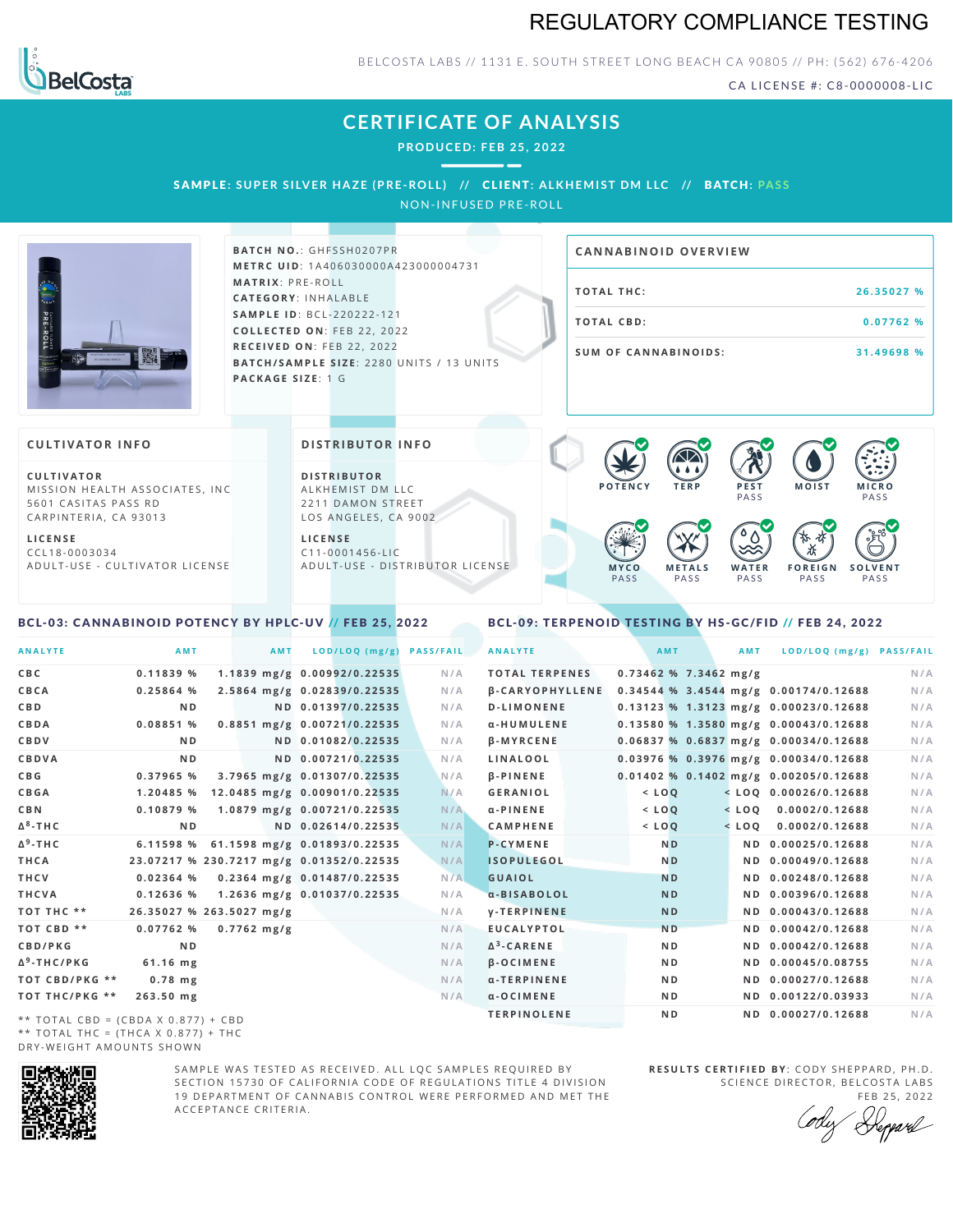# REGULATORY COMPLIANCE TESTING



#### BELCOSTA LABS // 1131 E. SOUTH STREET LONG BEACH CA 90805 // PH: (562) 676-4206

CA LICENSE #: C8-0000008-LIC

**M O IS T M IC R O PASS** 

**S O L V E N T** PA S S

# **CERTIFICATE OF ANALYSIS**

**PRODUCED: F EB 25, 2022**

SAMPLE: SUPER SILVER HAZE (PRE-ROLL) // CLIENT: ALKHEMIST DM LLC // BATCH: PASS

NON-INFUSED PRE-ROLL



 $BATCH NO.: GHFSSH0207PR$ **M E T R C U ID** :1 A 4 0 6 0 3 0 0 0 0 A 4 2 3 0 0 0 0 0 4 7 3 1 **M AT R I X** :P R E - R O L L **CAT E G O R Y** : I N H A L A B L E **SA M P L E I D** :B C L - 2 2 0 2 2 2 - 1 2 1 **C O L L E C T E D O N** :F E B 2 2 , 2 0 2 2 **R E C E I V E D O N** : F E B 2 2 , 2 0 2 2 **BATCH/SAMPLE SIZE: 2280 UNITS / 13 UNITS PAC KA G E S I Z E** : 1 G

# **T O TAL T H C :2 6 . 3 5 0 2 7 % T O TAL CB D :0 . 0 7 7 6 2 % S U M O F CA N N ABI N O I D S : 3 1 . 4 9 6 9 8 % CA N N ABI N OID OVERVI EW**

PA S S

 $\bullet$  60 60 60 60

 $\bullet$  0.0 0.0 0.0

**W A T E R** PA S S

**F O R E I G N** PA S S

祇

#### **CULTIVATOR I N FO**

**C U L T I VAT O R** MISSION HEALTH ASSOCIATES, INC. 5601 CASITAS PASS RD CARPINTERIA, CA 93013

**L I C E N S E** C C L 1 8 - 0 0 0 3 0 3 4 A D U L T - U S E - C U L T I V A T O R L I C E N S E

<span id="page-0-0"></span>BCL-03: CANNABINOID POTENCY BY HPLC-UV // FEB 25, 2022

#### **DI STRIBUTOR I N FO**

**D I S T R IB U T O R** ALKHEMIST DM LLC 2211 DAMON STREET LOS ANGELES, CA 9002

**L I C E N S E** C 1 1 - 0 0 0 1 4 5 6 - L I C A D U L T - U S E - D I STRI B U T O R LICENSE

## <span id="page-0-1"></span>BCL-09: TERPENOID TESTING BY HS-GC/FID // FEB 24, 2022

**M E T A L S** PA S S

**M Y C O** PA S S

**P O T E N C Y T E R P P E S T**

| <b>ANALYTE</b>          | AMT            | <b>AMT</b>               | LOD/LOQ (mg/g)                           | <b>PASS/FAIL</b> | <b>ANALYTE</b>        | <b>AMT</b>              | <b>AMT</b> | LOD/LOQ (mg/g) PASS/FAIL                |     |
|-------------------------|----------------|--------------------------|------------------------------------------|------------------|-----------------------|-------------------------|------------|-----------------------------------------|-----|
| C B C                   | 0.11839%       |                          | 1.1839 mg/g 0.00992/0.22535              | N/A              | <b>TOTAL TERPENES</b> | $0.73462$ % 7.3462 mg/g |            |                                         | N/A |
| CBCA                    | 0.25864%       |                          | 2.5864 mg/g 0.02839/0.22535              | N/A              | B-CARYOPHYLLENE       |                         |            | $0.34544$ % 3.4544 mg/g 0.00174/0.12688 | N/A |
| C B D                   | N <sub>D</sub> |                          | ND 0.01397/0.22535                       | N/A              | <b>D-LIMONENE</b>     |                         |            | 0.13123 % 1.3123 mg/g 0.00023/0.12688   | N/A |
| CBDA                    | 0.08851 %      |                          | 0.8851 mg/g 0.00721/0.22535              | N/A              | α-HUMULENE            |                         |            | 0.13580 % 1.3580 mg/g 0.00043/0.12688   | N/A |
| CBDV                    | N <sub>D</sub> |                          | ND 0.01082/0.22535                       | N/A              | <b>B-MYRCENE</b>      |                         |            | $0.06837$ % 0.6837 mg/g 0.00034/0.12688 | N/A |
| <b>CBDVA</b>            | ND.            |                          | ND 0.00721/0.22535                       | N/A              | <b>LINALOOL</b>       |                         |            | $0.03976$ % 0.3976 mg/g 0.00034/0.12688 | N/A |
| C B G                   | 0.37965%       |                          | 3.7965 mg/g 0.01307/0.22535              | N/A              | $\beta$ -PINENE       |                         |            | $0.01402$ % 0.1402 mg/g 0.00205/0.12688 | N/A |
| <b>CBGA</b>             | 1.20485 %      |                          | 12.0485 mg/g 0.00901/0.22535             | N/A              | <b>GERANIOL</b>       | $<$ LOO                 |            | $<$ LOO 0.00026/0.12688                 | N/A |
| C B N                   | 0.10879%       |                          | 1.0879 mg/g 0.00721/0.22535              | N/A              | α-PINENE              | $<$ $LOQ$               |            | $<$ LOQ 0.0002/0.12688                  | N/A |
| Δ <sup>8</sup> -ΤΗ C    | N <sub>D</sub> |                          | ND 0.02614/0.22535                       | N/A              | <b>CAMPHENE</b>       | $<$ $LOQ$               | $<$ LOQ    | 0.0002/0.12688                          | N/A |
| Δ <sup>9</sup> -ΤΗ C    | 6.11598 %      |                          | 61.1598 mg/g 0.01893/0.22535             | N/A              | <b>P-CYMENE</b>       | N <sub>D</sub>          |            | ND 0.00025/0.12688                      | N/A |
| THCA                    |                |                          | 23.07217 % 230.7217 mg/g 0.01352/0.22535 | N/A              | <b>ISOPULEGOL</b>     | N <sub>D</sub>          |            | ND 0.00049/0.12688                      | N/A |
| THCV                    | 0.02364%       |                          | 0.2364 mg/g 0.01487/0.22535              | N/A              | <b>GUAIOL</b>         | <b>ND</b>               |            | ND 0.00248/0.12688                      | N/A |
| THCVA                   | 0.12636%       |                          | 1.2636 mg/g 0.01037/0.22535              | N/A              | a-BISABOLOL           | <b>ND</b>               |            | ND 0.00396/0.12688                      | N/A |
| тот тнс **              |                | 26.35027 % 263.5027 mg/g |                                          | N/A              | <b>V-TERPINENE</b>    | <b>ND</b>               |            | ND 0.00043/0.12688                      | N/A |
| TOT CBD **              | 0.07762%       | $0.7762 \text{ mg/g}$    |                                          | N/A              | <b>EUCALYPTOL</b>     | N <sub>D</sub>          |            | ND 0.00042/0.12688                      | N/A |
| <b>CBD/PKG</b>          | N <sub>D</sub> |                          |                                          | N/A              | $\Delta^3$ -CARENE    | N <sub>D</sub>          |            | ND 0.00042/0.12688                      | N/A |
| Δ <sup>9</sup> -THC/PKG | $61.16$ mg     |                          |                                          | N/A              | <b>B-OCIMENE</b>      | N <sub>D</sub>          |            | ND 0.00045/0.08755                      | N/A |
| ТОТ СВD/РКG **          | $0.78$ mg      |                          |                                          | N/A              | α-TERPINENE           | N <sub>D</sub>          |            | ND 0.00027/0.12688                      | N/A |
| ТОТ ТНС/РКG **          | $263.50$ mg    |                          |                                          | N/A              | $\alpha$ -OCIMENE     | N D                     |            | ND 0.00122/0.03933                      | N/A |
|                         |                |                          |                                          |                  | <b>TERPINOLENE</b>    | ND.                     |            | ND 0.00027/0.12688                      | N/A |

\*\* TOTAL CBD = (CBDA X 0.877) + CBD \*\* TOTAL THC =  $(THCA X 0.877) + THC$ DRY-WEIGHT AMOUNTS SHOWN



SAMPLE WAS TESTED AS RECEIVED. ALL LOC SAMPLES REQUIRED BY SECTION 15730 OF CALIFORNIA CODE OF REGULATIONS TITLE 4 DIVISION 19 DEPARTMENT OF CANNABIS CONTROL WERE PERFORMED AND MET THE A C C E P T A N C E C R I T E R I A .

**R E S U L T S C E R T I F I E D BY** : C O D Y S H E P P A R D ,P H .D . SCIENCE DIRECTOR, BELCOSTA LABS

FEB 25, 2022 Heppard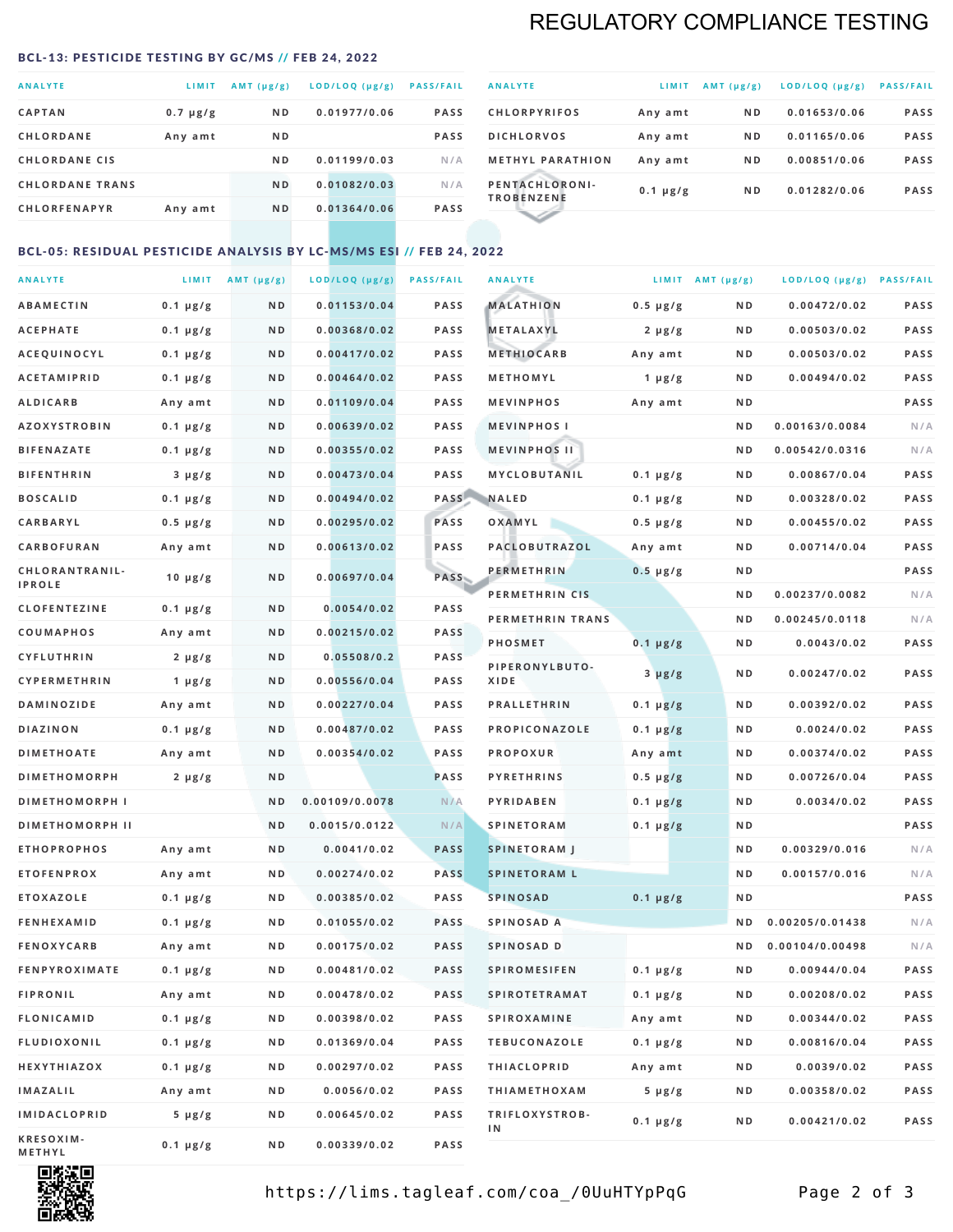# REGULATORY COMPLIANCE TESTING

#### <span id="page-1-0"></span>BCL-13: PESTICIDE TESTING BY GC/MS // FEB 24, 2022

| <b>ANALYTE</b>         | <b>LIMIT</b>  | $AMT(\mu g/g)$ | LOD/LOQ (µg/g) | <b>PASS/FAIL</b> |
|------------------------|---------------|----------------|----------------|------------------|
| <b>CAPTAN</b>          | $0.7 \mu g/g$ | N <sub>D</sub> | 0.01977/0.06   | <b>PASS</b>      |
| <b>CHLORDANE</b>       | Any amt       | N <sub>D</sub> |                | <b>PASS</b>      |
| <b>CHLORDANE CIS</b>   |               | ND.            | 0.01199/0.03   | N/A              |
| <b>CHLORDANE TRANS</b> |               | N <sub>D</sub> | 0.01082/0.03   | N/A              |
| <b>CHLORFENAPYR</b>    | Any amt       | N <sub>D</sub> | 0.01364/0.06   | <b>PASS</b>      |
|                        |               |                |                |                  |

| <b>ANALYTE</b>                      | LIMIT         | $AMT (\mu g/g)$ | LOD/LOQ (µg/g) | <b>PASS/FAIL</b> |
|-------------------------------------|---------------|-----------------|----------------|------------------|
| <b>CHLORPYRIFOS</b>                 | Any amt       | N <sub>D</sub>  | 0.01653/0.06   | <b>PASS</b>      |
| <b>DICHLORVOS</b>                   | Any amt       | N <sub>D</sub>  | 0.01165/0.06   | <b>PASS</b>      |
| <b>METHYL PARATHION</b>             | Any amt       | N <sub>D</sub>  | 0.00851/0.06   | <b>PASS</b>      |
| PENTACHLORONI-<br><b>TROBENZENE</b> | $0.1 \mu g/g$ | N <sub>D</sub>  | 0.01282/0.06   | <b>PASS</b>      |
|                                     |               |                 |                |                  |

## BCL-05: RESIDUAL PESTICIDE ANALYSIS BY LC-MS/MS ESI // FEB 24, 2022

| <b>ANALYTE</b>         |                  | LIMIT $AMT (\mu g/g)$ | LOD/LOQ (µg/g) | <b>PASS/FAIL</b> | <b>ANALYTE</b>       |                  | LIMIT AMT $(\mu g/g)$ | LOD/LOQ (µg/g) PASS/FAIL |             |
|------------------------|------------------|-----------------------|----------------|------------------|----------------------|------------------|-----------------------|--------------------------|-------------|
| <b>ABAMECTIN</b>       | $0.1 \mu g/g$    | N D                   | 0.01153/0.04   | <b>PASS</b>      | <b>MALATHION</b>     | $0.5 \mu g/g$    | N D                   | 0.00472/0.02             | <b>PASS</b> |
| <b>ACEPHATE</b>        | $0.1 \mu g/g$    | N D                   | 0.00368/0.02   | <b>PASS</b>      | <b>METALAXYL</b>     | $2 \mu g/g$      | N D                   | 0.00503/0.02             | PASS        |
| ACEQUINOCYL            | $0.1 \mu g/g$    | N D                   | 0.00417/0.02   | <b>PASS</b>      | <b>METHIOCARB</b>    | Any amt          | N D                   | 0.00503/0.02             | PASS        |
| <b>ACETAMIPRID</b>     | $0.1 \mu g/g$    | N D                   | 0.00464/0.02   | PASS             | METHOMYL             | 1 $\mu$ g/g      | N D                   | 0.00494/0.02             | PASS        |
| <b>ALDICARB</b>        | Any amt          | ND                    | 0.01109/0.04   | <b>PASS</b>      | <b>MEVINPHOS</b>     | Any amt          | N D                   |                          | PASS        |
| <b>AZOXYSTROBIN</b>    | $0.1 \mu g/g$    | N D                   | 0.00639/0.02   | <b>PASS</b>      | <b>MEVINPHOSI</b>    |                  | N D                   | 0.00163/0.0084           | N/A         |
| <b>BIFENAZATE</b>      | $0.1 \mu g/g$    | N D                   | 0.00355/0.02   | <b>PASS</b>      | <b>MEVINPHOS II</b>  |                  | N D                   | 0.00542/0.0316           | N/A         |
| <b>BIFENTHRIN</b>      | $3 \mu g/g$      | ND                    | 0.00473/0.04   | <b>PASS</b>      | MYCLOBUTANIL         | $0.1 \mu g/g$    | N D                   | 0.00867/0.04             | PASS        |
| <b>BOSCALID</b>        | $0.1 \mu g/g$    | N D                   | 0.00494/0.02   |                  | PASS NALED           | 0.1 µg/g         | N D                   | 0.00328/0.02             | PASS        |
| CARBARYL               | $0.5 \, \mu g/g$ | N D                   | 0.00295/0.02   | PASS             | OXAMYL               | $0.5 \, \mu g/g$ | N D                   | 0.00455/0.02             | PASS        |
| CARBOFURAN             | Any amt          | N D                   | 0.00613/0.02   | PASS             | PACLOBUTRAZOL        | Any amt          | N D                   | 0.00714/0.04             | PASS        |
| CHLORANTRANIL-         | $10 \mu g/g$     | N D                   | 0.00697/0.04   | PASS             | <b>PERMETHRIN</b>    | $0.5 \mu g/g$    | N D                   |                          | PASS        |
| <b>IPROLE</b>          |                  |                       |                |                  | PERMETHRIN CIS       |                  | N D                   | 0.00237/0.0082           | N/A         |
| <b>CLOFENTEZINE</b>    | $0.1 \mu g/g$    | N D                   | 0.0054/0.02    | <b>PASS</b>      | PERMETHRIN TRANS     |                  | N D                   | 0.00245/0.0118           | N/A         |
| COUMAPHOS              | Any amt          | N D                   | 0.00215/0.02   | <b>PASS</b>      | <b>PHOSMET</b>       | $0.1 \mu g/g$    | N D                   | 0.0043/0.02              | PASS        |
| CYFLUTHRIN             | $2 \mu g/g$      | N D                   | 0.05508/0.2    | <b>PASS</b>      | PIPERONYLBUTO-       | $3 \mu g/g$      | N D                   | 0.00247/0.02             | PASS        |
| <b>CYPERMETHRIN</b>    | $1 \mu g/g$      | N D                   | 0.00556/0.04   | <b>PASS</b>      | XIDE                 |                  |                       |                          |             |
| <b>DAMINOZIDE</b>      | Any amt          | N D                   | 0.00227/0.04   | PASS             | <b>PRALLETHRIN</b>   | $0.1 \mu g/g$    | N D                   | 0.00392/0.02             | PASS        |
| <b>DIAZINON</b>        | $0.1 \mu g/g$    | N D                   | 0.00487/0.02   | <b>PASS</b>      | PROPICONAZOLE        | $0.1 \mu g/g$    | N D                   | 0.0024/0.02              | PASS        |
| <b>DIMETHOATE</b>      | Any amt          | N D                   | 0.00354/0.02   | <b>PASS</b>      | <b>PROPOXUR</b>      | Any amt          | N D                   | 0.00374/0.02             | PASS        |
| <b>DIMETHOMORPH</b>    | $2 \mu g/g$      | N D                   |                | <b>PASS</b>      | <b>PYRETHRINS</b>    | $0.5 \mu g/g$    | N D                   | 0.00726/0.04             | PASS        |
| <b>DIMETHOMORPH I</b>  |                  | N D                   | 0.00109/0.0078 | N/A              | <b>PYRIDABEN</b>     | $0.1 \mu g/g$    | N D                   | 0.0034/0.02              | PASS        |
| <b>DIMETHOMORPH II</b> |                  | ND                    | 0.0015/0.0122  | N/A              | <b>SPINETORAM</b>    | $0.1 \mu g/g$    | N D                   |                          | PASS        |
| <b>ETHOPROPHOS</b>     | Any amt          | N D                   | 0.0041/0.02    | <b>PASS</b>      | <b>SPINETORAM J</b>  |                  | N D                   | 0.00329/0.016            | N/A         |
| <b>ETOFENPROX</b>      | Any amt          | N D                   | 0.00274/0.02   | <b>PASS</b>      | <b>SPINETORAM L</b>  |                  | N D                   | 0.00157/0.016            | N/A         |
| <b>ETOXAZOLE</b>       | $0.1 \mu g/g$    | N D                   | 0.00385/0.02   | PASS             | <b>SPINOSAD</b>      | $0.1 \mu g/g$    | N D                   |                          | PASS        |
| <b>FENHEXAMID</b>      | $0.1 \mu g/g$    | N D                   | 0.01055/0.02   | <b>PASS</b>      | SPINOSAD A           |                  | N D                   | 0.00205/0.01438          | N/A         |
| <b>FENOXYCARB</b>      | Any amt          | ND.                   | 0.00175/0.02   | <b>PASS</b>      | SPINOSAD D           |                  | N D                   | 0.00104/0.00498          | N/A         |
| <b>FENPYROXIMATE</b>   | 0.1 µg/g         | N D                   | 0.00481/0.02   | <b>PASS</b>      | SPIROMESIFEN         | 0.1 µg/g         | N D                   | 0.00944/0.04             | PASS        |
| <b>FIPRONIL</b>        | Any amt          | N D                   | 0.00478/0.02   | PASS             | <b>SPIROTETRAMAT</b> | $0.1 \, \mu g/g$ | N D                   | 0.00208/0.02             | PASS        |
| FLONICAMID             | $0.1 \mu g/g$    | N D                   | 0.00398/0.02   | PASS             | <b>SPIROXAMINE</b>   | Any amt          | N D                   | 0.00344/0.02             | PASS        |
| <b>FLUDIOXONIL</b>     | $0.1 \mu g/g$    | N D                   | 0.01369/0.04   | PASS             | <b>TEBUCONAZOLE</b>  | $0.1 \mu g/g$    | N D                   | 0.00816/0.04             | PASS        |
| HEXYTHIAZOX            | $0.1 \mu g/g$    | N D                   | 0.00297/0.02   | PASS             | <b>THIACLOPRID</b>   | Any amt          | N D                   | 0.0039/0.02              | PASS        |
| <b>IMAZALIL</b>        | Any amt          | N D                   | 0.0056/0.02    | PASS             | <b>THIAMETHOXAM</b>  | $5 \mu g/g$      | N D                   | 0.00358/0.02             | PASS        |
| <b>IMIDACLOPRID</b>    | 5 µg/g           | N D                   | 0.00645/0.02   | <b>PASS</b>      | TRIFLOXYSTROB-<br>ΙN | $0.1 \mu g/g$    | N D                   | 0.00421/0.02             | PASS        |
| KRESOXIM-<br>METHYL    | $0.1 \mu g/g$    | N D                   | 0.00339/0.02   | PASS             |                      |                  |                       |                          |             |